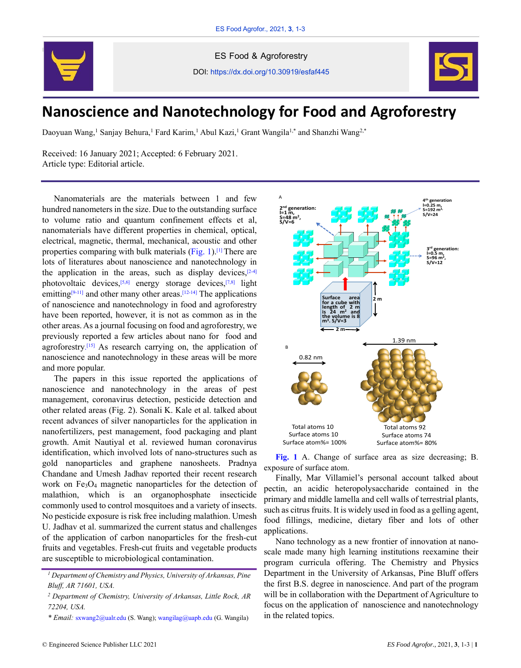

ES Food & Agroforestry

DOI: https://dx.doi.org/10.30919/esfaf445



## **Nanoscience and Nanotechnology for Food and Agroforestry**

Daoyuan Wang,<sup>1</sup> Sanjay Behura,<sup>1</sup> Fard Karim,<sup>1</sup> Abul Kazi,<sup>1</sup> Grant Wangila<sup>1,\*</sup> and Shanzhi Wang<sup>2,\*</sup>

Received: 16 January 2021; Accepted: 6 February 2021. Article type: Editorial article.

Nanomaterials are the materials between 1 and few hundred nanometers in the size. Due to the outstanding surface to volume ratio and quantum confinement effects et al, nanomaterials have different properties in chemical, optical, electrical, magnetic, thermal, mechanical, acoustic and other properties comparing with bulk materials (Fig. 1).<sup>[1]</sup> There are lots of literatures about nanoscience and nanotechnology in the application in the areas, such as display devices, $[2-4]$ photovoltaic devices,<sup>[5,6]</sup> energy storage devices,<sup>[7,8]</sup> light emitting<sup>[9-11]</sup> and other many other areas.<sup>[12-14]</sup> The applications of nanoscience and nanotechnology in food and agroforestry have been reported, however, it is not as common as in the other areas. As a journal focusing on food and agroforestry, we previously reported a few articles about nano for food and agroforestry.<sup>[15]</sup> As research carrying on, the application of nanoscience and nanotechnology in these areas will be more and more popular.

The papers in this issue reported the applications of nanoscience and nanotechnology in the areas of pest management, coronavirus detection, pesticide detection and other related areas (Fig. 2). Sonali K. Kale et al. talked about recent advances of silver nanoparticles for the application in nanofertilizers, pest management, food packaging and plant growth. Amit Nautiyal et al. reviewed human coronavirus identification, which involved lots of nano-structures such as gold nanoparticles and graphene nanosheets. Pradnya Chandane and Umesh Jadhav reported their recent research work on Fe3O<sup>4</sup> magnetic nanoparticles for the detection of malathion, which is an organophosphate insecticide commonly used to control mosquitoes and a variety of insects. No pesticide exposure is risk free including malathion. Umesh U. Jadhav et al. summarized the current status and challenges of the application of carbon nanoparticles for the fresh-cut fruits and vegetables. Fresh-cut fruits and vegetable products are susceptible to microbiological contamination.

*\* Email:* sxwang2@ualr.edu (S. Wang); [wangilag@uapb.edu](mailto:wangilag@uapb.edu) (G. Wangila)



**Fig. 1** A. Change of surface area as size decreasing; B. exposure of surface atom.

Finally, Mar Villamiel's personal account talked about pectin, an acidic heteropolysaccharide contained in the primary and middle lamella and cell walls of terrestrial plants, such as citrus fruits. It is widely used in food as a gelling agent, food fillings, medicine, dietary fiber and lots of other applications.

Nano technology as a new frontier of innovation at nanoscale made many high learning institutions reexamine their program curricula offering. The Chemistry and Physics Department in the University of Arkansas, Pine Bluff offers the first B.S. degree in nanoscience. And part of the program will be in collaboration with the Department of Agriculture to focus on the application of nanoscience and nanotechnology in the related topics.

*<sup>1</sup> Department of Chemistry and Physics, University of Arkansas, Pine Bluff, AR 71601, USA.*

*<sup>2</sup> Department of Chemistry, University of Arkansas, Little Rock, AR 72204, USA.*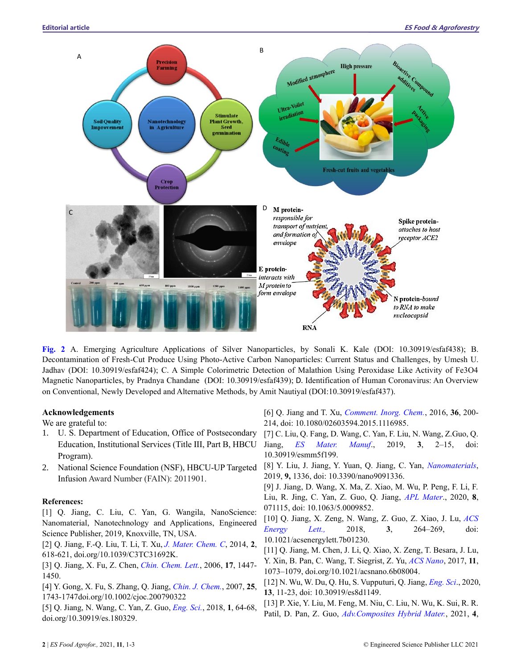

**Fig. 2** A. Emerging Agriculture Applications of Silver Nanoparticles, by Sonali K. Kale (DOI: 10.30919/esfaf438); B. Decontamination of Fresh-Cut Produce Using Photo-Active Carbon Nanoparticles: Current Status and Challenges, by Umesh U. Jadhav (DOI: 10.30919/esfaf424); C. A Simple Colorimetric Detection of Malathion Using Peroxidase Like Activity of Fe3O4 Magnetic Nanoparticles, by Pradnya Chandane (DOI: 10.30919/esfaf439); D. Identification of Human Coronavirus: An Overview on Conventional, Newly Developed and Alternative Methods, by Amit Nautiyal (DOI:10.30919/esfaf437).

## **Acknowledgements**

We are grateful to:

- 1. U. S. Department of Education, Office of Postsecondary Education, Institutional Services (Title III, Part B, HBCU Program).
- 2. National Science Foundation (NSF), HBCU-UP Targeted Infusion Award Number (FAIN): 2011901.

## **References:**

[1] Q. Jiang, C. Liu, C. Yan, G. Wangila, NanoScience: Nanomaterial, Nanotechnology and Applications, Engineered Science Publisher, 2019, Knoxville, TN, USA.

[2] Q. Jiang, F.-Q. Liu, T. Li, T. Xu, *J. Mater. Chem. C*, 2014, **2**, 618-621, doi.org/10.1039/C3TC31692K.

[3] Q. Jiang, X. Fu, Z. Chen, *Chin. Chem. Lett.*, 2006, **17**, 1447- 1450.

[4] Y. Gong, X. Fu, S. Zhang, Q. Jiang, *Chin. J. Chem.*, 2007, **25**, 1743-1747doi.org/10.1002/cjoc.200790322

[5] Q. Jiang, N. Wang, C. Yan, Z. Guo, *Eng. Sci.*, 2018, **1**, 64-68, doi.org/10.30919/es.180329.

[6] Q. Jiang and T. Xu, *Comment. Inorg. Chem.*, 2016, **36**, 200- 214, doi: 10.1080/02603594.2015.1116985.

[7] C. Liu, Q. Fang, D. Wang, C. Yan, F. Liu, N. Wang, Z.Guo, Q. Jiang, *ES Mater. Manuf*., 2019, **3**, 2–15, doi: 10.30919/esmm5f199.

[8] Y. Liu, J. Jiang, Y. Yuan, Q. Jiang, C. Yan, *Nanomaterials*, 2019, **9,** 1336, doi: 10.3390/nano9091336.

[9] J. Jiang, D. Wang, X. Ma, Z. Xiao, M. Wu, P. Peng, F. Li, F. Liu, R. Jing, C. Yan, Z. Guo, Q. Jiang, *APL Mater*., 2020, **8**, 071115, doi: 10.1063/5.0009852.

[10] Q. Jiang, X. Zeng, N. Wang, Z. Guo, Z. Xiao, J. Lu, *ACS Energy Lett.,* 2018, **3**, 264–269, doi: 10.1021/acsenergylett.7b01230.

[11] Q. Jiang, M. Chen, J. Li, Q. Xiao, X. Zeng, T. Besara, J. Lu, Y. Xin, B. Pan, C. Wang, T. Siegrist, Z. Yu, *ACS Nano*, 2017, **11**, 1073–1079, doi.org/10.1021/acsnano.6b08004.

[12] N. Wu, W. Du, Q. Hu, S. Vupputuri, Q. Jiang, *Eng. Sci*., 2020, **13**, 11-23, doi: 10.30919/es8d1149.

[13] P. Xie, Y. Liu, M. Feng, M. Niu, C. Liu, N. Wu, K. Sui, R. R. Patil, D. Pan, Z. Guo, *Adv.Composites Hybrid Mater.*, 2021, **4**,